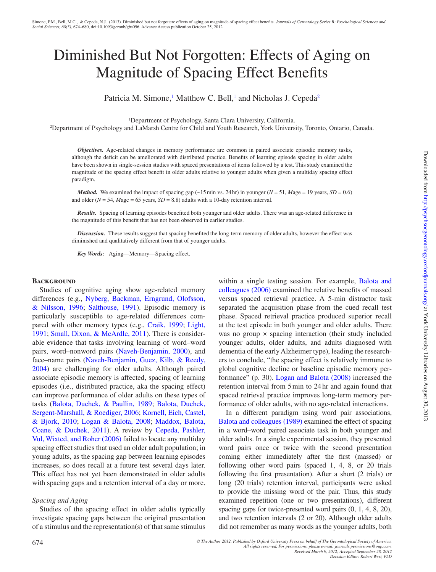# Diminished But Not Forgotten: Effects of Aging on Magnitude of Spacing Effect Benefits

Patricia M. Simone,<sup>1</sup> Matthew C. Bell,<sup>1</sup> and Nicholas J. Cepeda<sup>[2](#page-0-1)</sup>

<span id="page-0-0"></span>1 Department of Psychology, Santa Clara University, California.

<span id="page-0-1"></span>2 Department of Psychology and LaMarsh Centre for Child and Youth Research, York University, Toronto, Ontario, Canada.

*Objectives.* Age-related changes in memory performance are common in paired associate episodic memory tasks, although the deficit can be ameliorated with distributed practice. Benefits of learning episode spacing in older adults have been shown in single-session studies with spaced presentations of items followed by a test. This study examined the magnitude of the spacing effect benefit in older adults relative to younger adults when given a multiday spacing effect paradigm.

*Method.* We examined the impact of spacing gap (~15 min vs. 24 hr) in younger ( $N = 51$ ,  $Mage = 19$  years,  $SD = 0.6$ ) and older ( $N = 54$ ,  $Mage = 65$  years,  $SD = 8.8$ ) adults with a 10-day retention interval.

*Results.* Spacing of learning episodes benefited both younger and older adults. There was an age-related difference in the magnitude of this benefit that has not been observed in earlier studies.

*Discussion.* These results suggest that spacing benefited the long-term memory of older adults, however the effect was diminished and qualitatively different from that of younger adults.

*Key Words:* Aging—Memory—Spacing effect.

## **BACKGROUND**

Studies of cognitive aging show age-related memory differences (e.g., [Nyberg, Backman, Erngrund, Olofsson,](#page-6-0)  [& Nilsson, 1996;](#page-6-0) [Salthouse, 1991\)](#page-6-1). Episodic memory is particularly susceptible to age-related differences compared with other memory types (e.g., [Craik, 1999;](#page-5-0) [Light,](#page-6-2)  [1991;](#page-6-2) [Small, Dixon, & McArdle, 2011\)](#page-6-3). There is considerable evidence that tasks involving learning of word–word pairs, word–nonword pairs ([Naveh-Benjamin, 2000](#page-6-4)), and face–name pairs [\(Naveh-Benjamin, Guez, Kilb, & Reedy,](#page-6-5)  [2004\)](#page-6-5) are challenging for older adults. Although paired associate episodic memory is affected, spacing of learning episodes (i.e., distributed practice, aka the spacing effect) can improve performance of older adults on these types of tasks [\(Balota, Duchek, & Paullin, 1989;](#page-5-1) [Balota, Duchek,](#page-5-2)  [Sergent-Marshall, & Roediger, 2006;](#page-5-2) [Kornell, Eich, Castel,](#page-6-6)  [& Bjork, 2010;](#page-6-6) [Logan & Balota, 2008](#page-6-7); [Maddox, Balota,](#page-6-8)  [Coane, & Duchek, 2011](#page-6-8)). A review by [Cepeda, Pashler,](#page-5-3)  [Vul, Wixted, and Roher \(2006\)](#page-5-3) failed to locate any multiday spacing effect studies that used an older adult population; in young adults, as the spacing gap between learning episodes increases, so does recall at a future test several days later. This effect has not yet been demonstrated in older adults with spacing gaps and a retention interval of a day or more.

## *Spacing and Aging*

Studies of the spacing effect in older adults typically investigate spacing gaps between the original presentation of a stimulus and the representation(s) of that same stimulus within a single testing session. For example, [Balota and](#page-5-2) [colleagues \(2006\)](#page-5-2) examined the relative benefits of massed versus spaced retrieval practice. A 5-min distractor task separated the acquisition phase from the cued recall test phase. Spaced retrieval practice produced superior recall at the test episode in both younger and older adults. There was no group  $\times$  spacing interaction (their study included younger adults, older adults, and adults diagnosed with dementia of the early Alzheimer type), leading the researchers to conclude, "the spacing effect is relatively immune to global cognitive decline or baseline episodic memory performance" (p. 30). [Logan and Balota \(2008\)](#page-6-7) increased the retention interval from 5min to 24hr and again found that spaced retrieval practice improves long-term memory performance of older adults, with no age-related interactions.

In a different paradigm using word pair associations, [Balota and colleagues \(1989\)](#page-5-1) examined the effect of spacing in a word–word paired associate task in both younger and older adults. In a single experimental session, they presented word pairs once or twice with the second presentation coming either immediately after the first (massed) or following other word pairs (spaced 1, 4, 8, or 20 trials following the first presentation). After a short (2 trials) or long (20 trials) retention interval, participants were asked to provide the missing word of the pair. Thus, this study examined repetition (one or two presentations), different spacing gaps for twice-presented word pairs (0, 1, 4, 8, 20), and two retention intervals (2 or 20). Although older adults did not remember as many words as the younger adults, both

*<sup>©</sup> The Author 2012. Published by Oxford University Press on behalf of The Gerontological Society of America. All rights reserved. For permissions, please e-mail: journals.permissions@oup.com. Received March 9, 2012; Accepted September 28, 2012*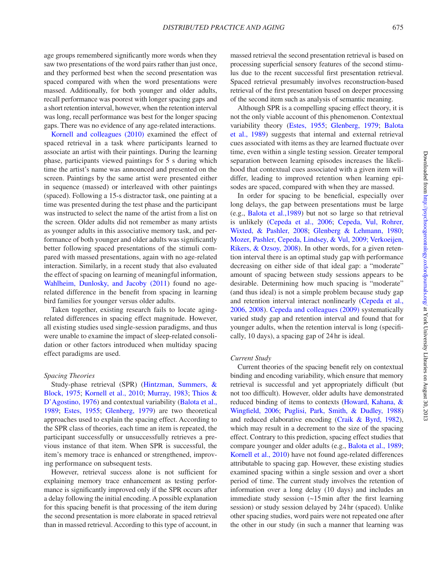age groups remembered significantly more words when they saw two presentations of the word pairs rather than just once, and they performed best when the second presentation was spaced compared with when the word presentations were massed. Additionally, for both younger and older adults, recall performance was poorest with longer spacing gaps and a short retention interval, however, when the retention interval was long, recall performance was best for the longer spacing gaps. There was no evidence of any age-related interactions.

[Kornell and colleagues \(2010\)](#page-6-6) examined the effect of spaced retrieval in a task where participants learned to associate an artist with their paintings. During the learning phase, participants viewed paintings for 5 s during which time the artist's name was announced and presented on the screen. Paintings by the same artist were presented either in sequence (massed) or interleaved with other paintings (spaced). Following a 15-s distractor task, one painting at a time was presented during the test phase and the participant was instructed to select the name of the artist from a list on the screen. Older adults did not remember as many artists as younger adults in this associative memory task, and performance of both younger and older adults was significantly better following spaced presentations of the stimuli compared with massed presentations, again with no age-related interaction. Similarly, in a recent study that also evaluated the effect of spacing on learning of meaningful information, [Wahlheim, Dunlosky, and Jacoby \(2011\)](#page-6-9) found no agerelated difference in the benefit from spacing in learning bird families for younger versus older adults.

Taken together, existing research fails to locate agingrelated differences in spacing effect magnitude. However, all existing studies used single-session paradigms, and thus were unable to examine the impact of sleep-related consolidation or other factors introduced when multiday spacing effect paradigms are used.

## *Spacing Theories*

Study-phase retrieval (SPR) ([Hintzman, Summers, &](#page-5-4)  [Block, 1975;](#page-5-4) [Kornell et al., 2010;](#page-6-6) [Murray, 1983;](#page-6-10) [Thios &](#page-6-11)  [D'Agostino, 1976](#page-6-11)) and contextual variability (Balota et al., [1989](#page-5-1); [Estes, 1955](#page-5-5); [Glenberg, 1979\)](#page-5-6) are two theoretical approaches used to explain the spacing effect. According to the SPR class of theories, each time an item is repeated, the participant successfully or unsuccessfully retrieves a previous instance of that item. When SPR is successful, the item's memory trace is enhanced or strengthened, improving performance on subsequent tests.

However, retrieval success alone is not sufficient for explaining memory trace enhancement as testing performance is significantly improved only if the SPR occurs after a delay following the initial encoding. A possible explanation for this spacing benefit is that processing of the item during the second presentation is more elaborate in spaced retrieval than in massed retrieval. According to this type of account, in massed retrieval the second presentation retrieval is based on processing superficial sensory features of the second stimulus due to the recent successful first presentation retrieval. Spaced retrieval presumably involves reconstruction-based retrieval of the first presentation based on deeper processing of the second item such as analysis of semantic meaning.

Although SPR is a compelling spacing effect theory, it is not the only viable account of this phenomenon. Contextual variability theory [\(Estes, 1955](#page-5-5); [Glenberg, 1979](#page-5-6); [Balota](#page-5-1) [et al., 1989\)](#page-5-1) suggests that internal and external retrieval cues associated with items as they are learned fluctuate over time, even within a single testing session. Greater temporal separation between learning episodes increases the likelihood that contextual cues associated with a given item will differ, leading to improved retention when learning episodes are spaced, compared with when they are massed.

In order for spacing to be beneficial, especially over long delays, the gap between presentations must be large (e.g., [Balota et al.,1989](#page-5-1)) but not so large so that retrieval is unlikely [\(Cepeda et al., 2006;](#page-5-3) [Cepeda, Vul, Rohrer,](#page-5-7) [Wixted, & Pashler, 2008](#page-5-7); [Glenberg & Lehmann, 1980](#page-5-8); [Mozer, Pashler, Cepeda, Lindsey, & Vul, 2009;](#page-6-12) [Verkoeijen,](#page-6-13) [Rikers, & Ozsoy, 2008](#page-6-13)). In other words, for a given retention interval there is an optimal study gap with performance decreasing on either side of that ideal gap: a "moderate" amount of spacing between study sessions appears to be desirable. Determining how much spacing is "moderate" (and thus ideal) is not a simple problem because study gap and retention interval interact nonlinearly ([Cepeda et al.,](#page-5-3) [2006](#page-5-3)[, 2008](#page-5-7)). [Cepeda and colleagues \(2009\)](#page-5-9) systematically varied study gap and retention interval and found that for younger adults, when the retention interval is long (specifically, 10 days), a spacing gap of 24 hr is ideal.

## *Current Study*

Current theories of the spacing benefit rely on contextual binding and encoding variability, which ensure that memory retrieval is successful and yet appropriately difficult (but not too difficult). However, older adults have demonstrated reduced binding of items to contexts [\(Howard, Kahana, &](#page-6-14) [Wingfield, 2006](#page-6-14); [Puglisi, Park, Smith, & Dudley, 1988\)](#page-6-15) and reduced elaborative encoding ([Craik & Byrd, 1982](#page-5-10)), which may result in a decrement to the size of the spacing effect. Contrary to this prediction, spacing effect studies that compare younger and older adults (e.g., [Balota et al., 1989](#page-5-1); [Kornell et al., 2010](#page-6-6)) have not found age-related differences attributable to spacing gap. However, these existing studies examined spacing within a single session and over a short period of time. The current study involves the retention of information over a long delay (10 days) and includes an immediate study session (~15min after the first learning session) or study session delayed by 24hr (spaced). Unlike other spacing studies, word pairs were not repeated one after the other in our study (in such a manner that learning was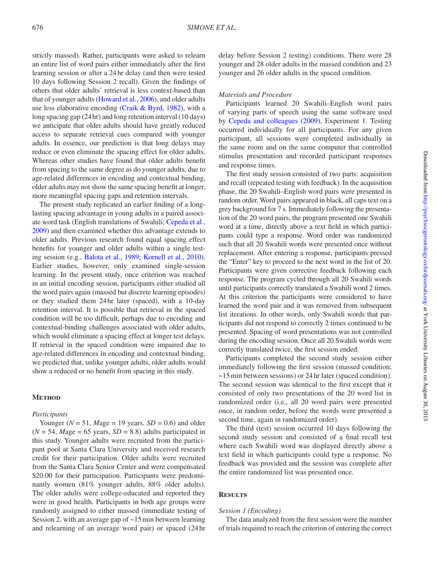strictly massed). Rather, participants were asked to relearn an entire list of word pairs either immediately after the first learning session or after a 24hr delay (and then were tested 10 days following Session 2 recall). Given the findings of others that older adults' retrieval is less context-based than that of younger adults [\(Howard et al., 2006\)](#page-6-14), and older adults use less elaborative encoding ([Craik & Byrd, 1982](#page-5-10)), with a long spacing gap (24hr) and long retention interval (10 days) we anticipate that older adults should have greatly reduced access to separate retrieval cues compared with younger adults. In essence, our prediction is that long delays may reduce or even eliminate the spacing effect for older adults. Whereas other studies have found that older adults benefit from spacing to the same degree as do younger adults, due to age-related differences in encoding and contextual binding, older adults may not show the same spacing benefit at longer, more meaningful spacing gaps and retention intervals.

The present study replicated an earlier finding of a longlasting spacing advantage in young adults in a paired associate word task (English translations of Swahili; [Cepeda et al.,](#page-5-9)  [2009\)](#page-5-9) and then examined whether this advantage extends to older adults. Previous research found equal spacing effect benefits for younger and older adults within a single testing session (e.g., [Balota et al., 1989;](#page-5-1) [Kornell et al., 2010\)](#page-6-6). Earlier studies, however, only examined single-session learning. In the present study, once criterion was reached in an initial encoding session, participants either studied all the word pairs again (massed but discrete learning episodes) or they studied them 24hr later (spaced), with a 10-day retention interval. It is possible that retrieval in the spaced condition will be too difficult, perhaps due to encoding and contextual-binding challenges associated with older adults, which would eliminate a spacing effect at longer test delays. If retrieval in the spaced condition were impaired due to age-related differences in encoding and contextual binding, we predicted that, unlike younger adults, older adults would show a reduced or no benefit from spacing in this study.

## **Method**

#### *Participants*

Younger ( $N = 51$ , Mage = 19 years,  $SD = 0.6$ ) and older  $(N = 54, \text{~}$  *Mage* = 65 years,  $SD = 8.8$ ) adults participated in this study. Younger adults were recruited from the participant pool at Santa Clara University and received research credit for their participation. Older adults were recruited from the Santa Clara Senior Center and were compensated \$20.00 for their participation. Participants were predominantly women (81% younger adults, 88% older adults). The older adults were college-educated and reported they were in good health. Participants in both age groups were randomly assigned to either massed (immediate testing of Session 2, with an average gap of ~15min between learning and relearning of an average word pair) or spaced (24hr delay before Session 2 testing) conditions. There were 28 younger and 28 older adults in the massed condition and 23 younger and 26 older adults in the spaced condition.

## *Materials and Procedure*

Participants learned 20 Swahili–English word pairs of varying parts of speech using the same software used by [Cepeda and colleagues \(2009\),](#page-5-9) Experiment 1. Testing occurred individually for all participants. For any given participant, all sessions were completed individually in the same room and on the same computer that controlled stimulus presentation and recorded participant responses and response times.

The first study session consisted of two parts: acquisition and recall (repeated testing with feedback). In the acquisition phase, the 20 Swahili–English word pairs were presented in random order. Word pairs appeared in black, all caps text on a grey background for 7 s. Immediately following the presentation of the 20 word pairs, the program presented one Swahili word at a time, directly above a text field in which participants could type a response. Word order was randomized such that all 20 Swahili words were presented once without replacement. After entering a response, participants pressed the "Enter" key to proceed to the next word in the list of 20. Participants were given corrective feedback following each response. The program cycled through all 20 Swahili words until participants correctly translated a Swahili word 2 times. At this criterion the participants were considered to have learned the word pair and it was removed from subsequent list iterations. In other words, only Swahili words that participants did not respond to correctly 2 times continued to be presented. Spacing of word presentations was not controlled during the encoding session. Once all 20 Swahili words were correctly translated twice, the first session ended.

Participants completed the second study session either immediately following the first session (massed condition; ~15min between sessions) or 24hr later (spaced condition). The second session was identical to the first except that it consisted of only two presentations of the 20 word list in randomized order (i.e., all 20 word pairs were presented once, in random order, before the words were presented a second time, again in randomized order).

The third (test) session occurred 10 days following the second study session and consisted of a final recall test where each Swahili word was displayed directly above a text field in which participants could type a response. No feedback was provided and the session was complete after the entire randomized list was presented once.

## **Results**

#### *Session 1 (Encoding)*

The data analyzed from the first session were the number of trials required to reach the criterion of entering the correct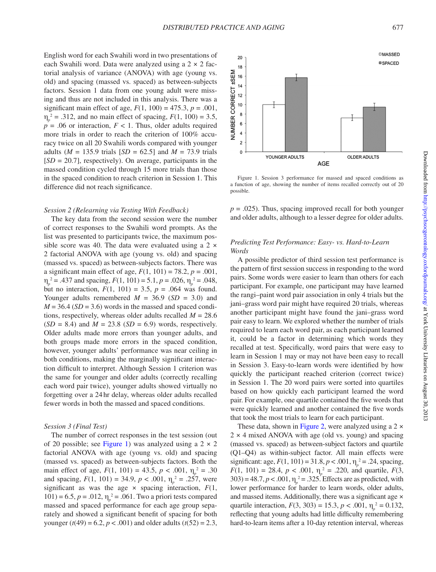English word for each Swahili word in two presentations of each Swahili word. Data were analyzed using a 2 × 2 factorial analysis of variance (ANOVA) with age (young vs. old) and spacing (massed vs. spaced) as between-subjects factors. Session 1 data from one young adult were missing and thus are not included in this analysis. There was a significant main effect of age,  $F(1, 100) = 475.3$ ,  $p = .001$ ,  $\eta_p^2 = .312$ , and no main effect of spacing,  $F(1, 100) = 3.5$ ,  $p = .06$  or interaction,  $F < 1$ . Thus, older adults required more trials in order to reach the criterion of 100% accuracy twice on all 20 Swahili words compared with younger adults ( $M = 135.9$  trials  $[SD = 62.5]$  and  $M = 73.9$  trials [*SD* = 20.7], respectively). On average, participants in the massed condition cycled through 15 more trials than those in the spaced condition to reach criterion in Session 1. This difference did not reach significance.

#### *Session 2 (Relearning via Testing With Feedback)*

The key data from the second session were the number of correct responses to the Swahili word prompts. As the list was presented to participants twice, the maximum possible score was 40. The data were evaluated using a  $2 \times$ 2 factorial ANOVA with age (young vs. old) and spacing (massed vs. spaced) as between-subjects factors. There was a significant main effect of age,  $F(1, 101) = 78.2$ ,  $p = .001$ ,  $\eta_p^2$  = .437 and spacing, *F*(1, 101) = 5.1, *p* = .026,  $\eta_p^2$  = .048, but no interaction,  $F(1, 101) = 3.5$ ,  $p = .064$  was found. Younger adults remembered  $M = 36.9$  (*SD* = 3.0) and  $M = 36.4$  (*SD* = 3.6) words in the massed and spaced conditions, respectively, whereas older adults recalled *M* = 28.6  $(SD = 8.4)$  and  $M = 23.8$   $(SD = 6.9)$  words, respectively. Older adults made more errors than younger adults, and both groups made more errors in the spaced condition, however, younger adults' performance was near ceiling in both conditions, making the marginally significant interaction difficult to interpret. Although Session 1 criterion was the same for younger and older adults (correctly recalling each word pair twice), younger adults showed virtually no forgetting over a 24hr delay, whereas older adults recalled fewer words in both the massed and spaced conditions.

### *Session 3 (Final Test)*

The number of correct responses in the test session (out of 20 possible; see [Figure 1](#page-3-0)) was analyzed using a  $2 \times 2$ factorial ANOVA with age (young vs. old) and spacing (massed vs. spaced) as between-subjects factors. Both the main effect of age,  $F(1, 101) = 43.5$ ,  $p < .001$ ,  $\eta_p^2 = .30$ and spacing,  $F(1, 101) = 34.9$ ,  $p < .001$ ,  $\eta_p^2 = .257$ , were significant as was the age  $\times$  spacing interaction,  $F(1, \cdot)$ 101) = 6.5,  $p = .012$ ,  $\eta_p^2 = .061$ . Two a priori tests compared massed and spaced performance for each age group separately and showed a significant benefit of spacing for both younger ( $t(49) = 6.2$ ,  $p < .001$ ) and older adults ( $t(52) = 2.3$ ,



<span id="page-3-0"></span>Figure 1. Session 3 performance for massed and spaced conditions as a function of age, showing the number of items recalled correctly out of 20 possible.

 $p = .025$ ). Thus, spacing improved recall for both younger and older adults, although to a lesser degree for older adults.

## *Predicting Test Performance: Easy- vs. Hard-to-Learn Words*

A possible predictor of third session test performance is the pattern of first session success in responding to the word pairs. Some words were easier to learn than others for each participant. For example, one participant may have learned the rangi–paint word pair association in only 4 trials but the jani–grass word pair might have required 20 trials, whereas another participant might have found the jani–grass word pair easy to learn. We explored whether the number of trials required to learn each word pair, as each participant learned it, could be a factor in determining which words they recalled at test. Specifically, word pairs that were easy to learn in Session 1 may or may not have been easy to recall in Session 3. Easy-to-learn words were identified by how quickly the participant reached criterion (correct twice) in Session 1. The 20 word pairs were sorted into quartiles based on how quickly each participant learned the word pair. For example, one quartile contained the five words that were quickly learned and another contained the five words that took the most trials to learn for each participant.

These data, shown in [Figure 2](#page-4-0), were analyzed using a 2  $\times$  $2 \times 4$  mixed ANOVA with age (old vs. young) and spacing (massed vs. spaced) as between-subject factors and quartile (Q1–Q4) as within-subject factor. All main effects were significant: age,  $F(1, 101) = 31.8, p < .001, \eta_p^2 = .24$ , spacing, *F*(1, 101) = 28.4, *p* < .001,  $\eta_p^2$  = .220, and quartile, *F*(3, 303) = 48.7,  $p < .001$ ,  $\eta_p^2 = .325$ . Effects are as predicted, with lower performance for harder to learn words, older adults, and massed items. Additionally, there was a significant age × quartile interaction,  $F(3, 303) = 15.3, p < .001, \eta_p^2 = 0.132,$ reflecting that young adults had little difficulty remembering hard-to-learn items after a 10-day retention interval, whereas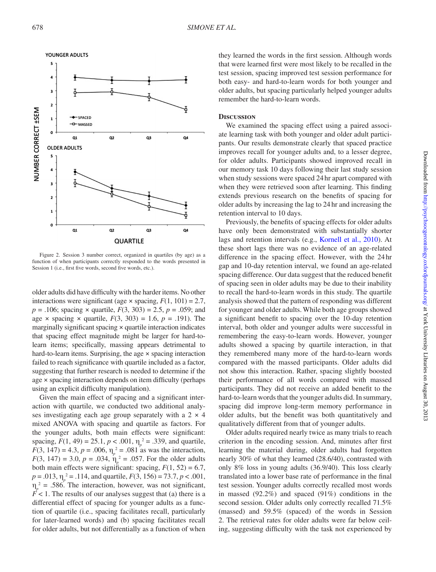

<span id="page-4-0"></span>Figure 2. Session 3 number correct, organized in quartiles (by age) as a function of when participants correctly responded to the words presented in Session 1 (i.e., first five words, second five words, etc.).

older adults did have difficulty with the harder items. No other interactions were significant (age  $\times$  spacing,  $F(1, 101) = 2.7$ , *p* = .106; spacing × quartile, *F*(3, 303) = 2.5, *p* = .059; and age  $\times$  spacing  $\times$  quartile,  $F(3, 303) = 1.6$ ,  $p = .191$ ). The marginally significant spacing × quartile interaction indicates that spacing effect magnitude might be larger for hard-tolearn items; specifically, massing appears detrimental to hard-to-learn items. Surprising, the age  $\times$  spacing interaction failed to reach significance with quartile included as a factor, suggesting that further research is needed to determine if the age × spacing interaction depends on item difficulty (perhaps using an explicit difficulty manipulation).

Given the main effect of spacing and a significant interaction with quartile, we conducted two additional analyses investigating each age group separately with a  $2 \times 4$ mixed ANOVA with spacing and quartile as factors. For the younger adults, both main effects were significant: spacing,  $F(1, 49) = 25.1$ ,  $p < .001$ ,  $\eta_p^2 = .339$ , and quartile, *F*(3, 147) = 4.3, *p* = .006,  $\eta_p^2$  = .081 as was the interaction, *F*(3, 147) = 3.0, *p* = .034,  $\eta_p^2$  = .057. For the older adults both main effects were significant: spacing,  $F(1, 52) = 6.7$ , *p* = .013, η*<sup>p</sup>* 2 = .114, and quartile, *F*(3, 156) = 73.7, *p* < .001,  $\eta_p^2$  = .586. The interaction, however, was not significant,  $F$  < 1. The results of our analyses suggest that (a) there is a differential effect of spacing for younger adults as a function of quartile (i.e., spacing facilitates recall, particularly for later-learned words) and (b) spacing facilitates recall for older adults, but not differentially as a function of when

they learned the words in the first session. Although words that were learned first were most likely to be recalled in the test session, spacing improved test session performance for both easy- and hard-to-learn words for both younger and older adults, but spacing particularly helped younger adults remember the hard-to-learn words.

## **Discussion**

We examined the spacing effect using a paired associate learning task with both younger and older adult participants. Our results demonstrate clearly that spaced practice improves recall for younger adults and, to a lesser degree, for older adults. Participants showed improved recall in our memory task 10 days following their last study session when study sessions were spaced 24hr apart compared with when they were retrieved soon after learning. This finding extends previous research on the benefits of spacing for older adults by increasing the lag to 24 hr and increasing the retention interval to 10 days.

Previously, the benefits of spacing effects for older adults have only been demonstrated with substantially shorter lags and retention intervals (e.g., [Kornell et al., 2010\)](#page-6-6). At these short lags there was no evidence of an age-related difference in the spacing effect. However, with the 24hr gap and 10-day retention interval, we found an age-related spacing difference. Our data suggest that the reduced benefit of spacing seen in older adults may be due to their inability to recall the hard-to-learn words in this study. The quartile analysis showed that the pattern of responding was different for younger and older adults. While both age groups showed a significant benefit to spacing over the 10-day retention interval, both older and younger adults were successful in remembering the easy-to-learn words. However, younger adults showed a spacing by quartile interaction, in that they remembered many more of the hard-to-learn words compared with the massed participants. Older adults did not show this interaction. Rather, spacing slightly boosted their performance of all words compared with massed participants. They did not receive an added benefit to the hard-to-learn words that the younger adults did. In summary, spacing did improve long-term memory performance in older adults, but the benefit was both quantitatively and qualitatively different from that of younger adults.

Older adults required nearly twice as many trials to reach criterion in the encoding session. And, minutes after first learning the material during, older adults had forgotten nearly 30% of what they learned (28.6/40), contrasted with only 8% loss in young adults (36.9/40). This loss clearly translated into a lower base rate of performance in the final test session. Younger adults correctly recalled most words in massed (92.2%) and spaced (91%) conditions in the second session. Older adults only correctly recalled 71.5% (massed) and 59.5% (spaced) of the words in Session 2. The retrieval rates for older adults were far below ceiling, suggesting difficulty with the task not experienced by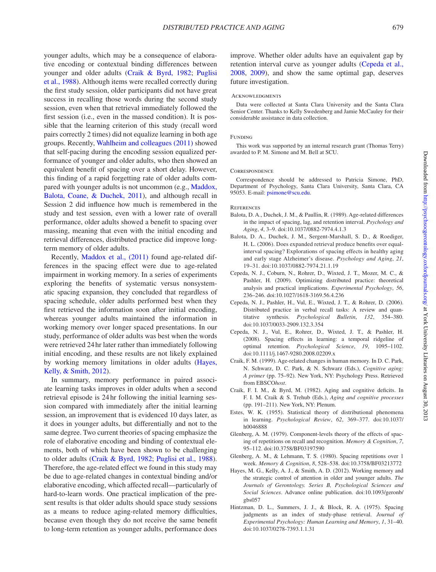younger adults, which may be a consequence of elaborative encoding or contextual binding differences between younger and older adults [\(Craik & Byrd, 1982](#page-5-10); [Puglisi](#page-6-15)  [et al., 1988](#page-6-15)). Although items were recalled correctly during the first study session, older participants did not have great success in recalling those words during the second study session, even when that retrieval immediately followed the first session (i.e., even in the massed condition). It is possible that the learning criterion of this study (recall word pairs correctly 2 times) did not equalize learning in both age groups. Recently, [Wahlheim and colleagues \(2011\)](#page-6-9) showed that self-pacing during the encoding session equalized performance of younger and older adults, who then showed an equivalent benefit of spacing over a short delay. However, this finding of a rapid forgetting rate of older adults compared with younger adults is not uncommon (e.g., [Maddox,](#page-6-8)  [Balota, Coane, & Duchek, 2011\)](#page-6-8), and although recall in Session 2 did influence how much is remembered in the study and test session, even with a lower rate of overall performance, older adults showed a benefit to spacing over massing, meaning that even with the initial encoding and retrieval differences, distributed practice did improve longterm memory of older adults.

Recently, Maddox et al., (2011) found age-related differences in the spacing effect were due to age-related impairment in working memory. In a series of experiments exploring the benefits of systematic versus nonsystematic spacing expansion, they concluded that regardless of spacing schedule, older adults performed best when they first retrieved the information soon after initial encoding, whereas younger adults maintained the information in working memory over longer spaced presentations. In our study, performance of older adults was best when the words were retrieved 24hr later rather than immediately following initial encoding, and these results are not likely explained by working memory limitations in older adults [\(Hayes,](#page-5-11)  [Kelly, & Smith, 2012\)](#page-5-11).

In summary, memory performance in paired associate learning tasks improves in older adults when a second retrieval episode is 24 hr following the initial learning session compared with immediately after the initial learning session, an improvement that is evidenced 10 days later, as it does in younger adults, but differentially and not to the same degree. Two current theories of spacing emphasize the role of elaborative encoding and binding of contextual elements, both of which have been shown to be challenging to older adults [\(Craik & Byrd, 1982;](#page-5-10) [Puglisi et al., 1988\)](#page-6-15). Therefore, the age-related effect we found in this study may be due to age-related changes in contextual binding and/or elaborative encoding, which affected recall—particularly of hard-to-learn words. One practical implication of the present results is that older adults should space study sessions as a means to reduce aging-related memory difficulties, because even though they do not receive the same benefit to long-term retention as younger adults, performance does improve. Whether older adults have an equivalent gap by retention interval curve as younger adults [\(Cepeda et al.,](#page-5-7) [2008,](#page-5-7) [2009\)](#page-5-9), and show the same optimal gap, deserves future investigation.

#### **ACKNOWLEDGMENTS**

Data were collected at Santa Clara University and the Santa Clara Senior Center. Thanks to Kelly Swedenberg and Jamie McCauley for their considerable assistance in data collection.

#### FUNDING

This work was supported by an internal research grant (Thomas Terry) awarded to P. M. Simone and M. Bell at SCU.

#### **CORRESPONDENCE**

Correspondence should be addressed to Patricia Simone, PhD, Department of Psychology, Santa Clara University, Santa Clara, CA 95053. E-mail: [psimone@scu.edu](mailto:psimone@scu.edu).

#### **REFERENCES**

- <span id="page-5-1"></span>Balota, D. A., Duchek, J. M., & Paullin, R. (1989). Age-related differences in the impact of spacing, lag, and retention interval. *Psychology and Aging*, *4*, 3–9. doi:10.1037/0882-7974.4.1.3
- <span id="page-5-2"></span>Balota, D. A., Duchek, J. M., Sergent-Marshall, S. D., & Roediger, H. L. (2006). Does expanded retrieval produce benefits over equalinterval spacing? Explorations of spacing effects in healthy aging and early stage Alzheimer's disease. *Psychology and Aging*, *21*, 19–31. doi:10.1037/0882-7974.21.1.19
- <span id="page-5-9"></span>Cepeda, N. J., Coburn, N., Rohrer, D., Wixted, J. T., Mozer, M. C., & Pashler, H. (2009). Optimizing distributed practice: theoretical analysis and practical implications. *Experimental Psychology*, *56*, 236–246. doi:10.1027/1618-3169.56.4.236
- <span id="page-5-3"></span>Cepeda, N. J., Pashler, H., Vul, E., Wixted, J. T., & Rohrer, D. (2006). Distributed practice in verbal recall tasks: A review and quantitative synthesis. *Psychological Bulletin*, *132*, 354–380. doi:10.1037/0033-2909.132.3.354
- <span id="page-5-7"></span>Cepeda, N. J., Vul, E., Rohrer, D., Wixted, J. T., & Pashler, H. (2008). Spacing effects in learning: a temporal ridgeline of optimal retention. *Psychological Science*, *19*, 1095–1102. doi:10.1111/j.1467-9280.2008.02209.x
- <span id="page-5-0"></span>Craik, F. M. (1999). Age-related changes in human memory. In D. C. Park, N. Schwarz, D. C. Park, & N. Schwarz (Eds.), *Cognitive aging: A primer* (pp. 75–92). New York, NY: Psychology Press. Retrieved from EBSCO*host*.
- <span id="page-5-10"></span>Craik, F. I. M., & Byrd, M. (1982). Aging and cognitive deficits. In F. I. M. Craik & S. Trehub (Eds.), *Aging and cognitive processes* (pp. 191–211). New York, NY: Plenum.
- <span id="page-5-5"></span>Estes, W. K. (1955). Statistical theory of distributional phenomena in learning. *Psychological Review*, *62*, 369–377. doi:10.1037/ h0046888
- <span id="page-5-6"></span>Glenberg, A. M. (1979). Component-levels theory of the effects of spacing of repetitions on recall and recognition. *Memory & Cognition*, *7*, 95–112. doi:10.3758/BF03197590
- <span id="page-5-8"></span>Glenberg, A. M., & Lehmann, T. S. (1980). Spacing repetitions over 1 week. *Memory & Cognition*, *8*, 528–538. doi:10.3758/BF03213772
- <span id="page-5-11"></span>Hayes, M. G., Kelly, A. J., & Smith, A. D. (2012). Working memory and the strategic control of attention in older and younger adults. *The Journals of Gerontology. Series B, Psychological Sciences and Social Sciences*. Advance online publication. doi:10.1093/geronb/ gbs057
- <span id="page-5-4"></span>Hintzman, D. L., Summers, J. J., & Block, R. A. (1975). Spacing judgments as an index of study-phase retrieval. *Journal of Experimental Psychology: Human Learning and Memory*, *1*, 31–40. doi:10.1037/0278-7393.1.1.31